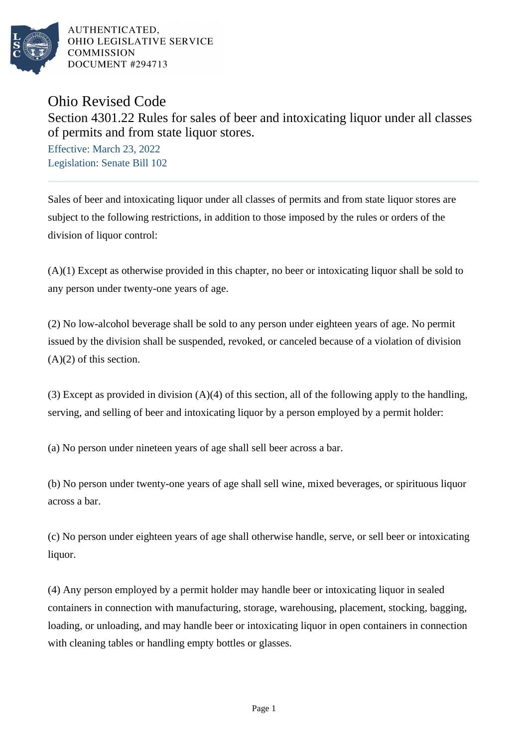

AUTHENTICATED. OHIO LEGISLATIVE SERVICE **COMMISSION** DOCUMENT #294713

Ohio Revised Code

Section 4301.22 Rules for sales of beer and intoxicating liquor under all classes of permits and from state liquor stores.

Effective: March 23, 2022 Legislation: Senate Bill 102

Sales of beer and intoxicating liquor under all classes of permits and from state liquor stores are subject to the following restrictions, in addition to those imposed by the rules or orders of the division of liquor control:

(A)(1) Except as otherwise provided in this chapter, no beer or intoxicating liquor shall be sold to any person under twenty-one years of age.

(2) No low-alcohol beverage shall be sold to any person under eighteen years of age. No permit issued by the division shall be suspended, revoked, or canceled because of a violation of division (A)(2) of this section.

(3) Except as provided in division (A)(4) of this section, all of the following apply to the handling, serving, and selling of beer and intoxicating liquor by a person employed by a permit holder:

(a) No person under nineteen years of age shall sell beer across a bar.

(b) No person under twenty-one years of age shall sell wine, mixed beverages, or spirituous liquor across a bar.

(c) No person under eighteen years of age shall otherwise handle, serve, or sell beer or intoxicating liquor.

(4) Any person employed by a permit holder may handle beer or intoxicating liquor in sealed containers in connection with manufacturing, storage, warehousing, placement, stocking, bagging, loading, or unloading, and may handle beer or intoxicating liquor in open containers in connection with cleaning tables or handling empty bottles or glasses.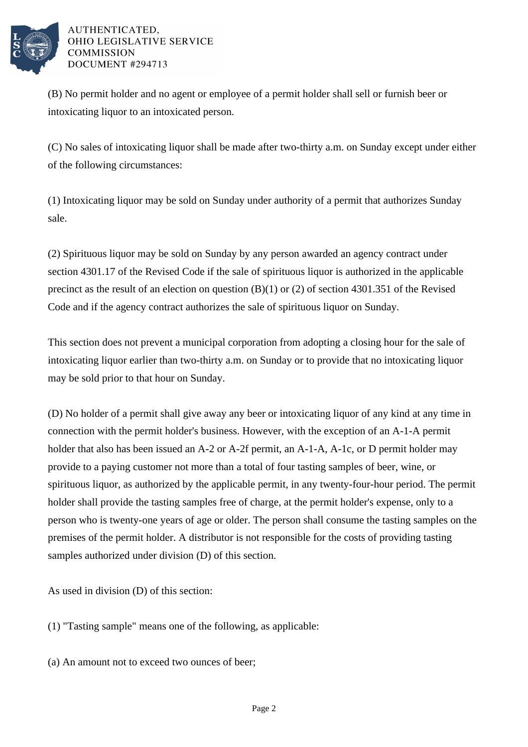

AUTHENTICATED, OHIO LEGISLATIVE SERVICE **COMMISSION** DOCUMENT #294713

(B) No permit holder and no agent or employee of a permit holder shall sell or furnish beer or intoxicating liquor to an intoxicated person.

(C) No sales of intoxicating liquor shall be made after two-thirty a.m. on Sunday except under either of the following circumstances:

(1) Intoxicating liquor may be sold on Sunday under authority of a permit that authorizes Sunday sale.

(2) Spirituous liquor may be sold on Sunday by any person awarded an agency contract under section 4301.17 of the Revised Code if the sale of spirituous liquor is authorized in the applicable precinct as the result of an election on question (B)(1) or (2) of section 4301.351 of the Revised Code and if the agency contract authorizes the sale of spirituous liquor on Sunday.

This section does not prevent a municipal corporation from adopting a closing hour for the sale of intoxicating liquor earlier than two-thirty a.m. on Sunday or to provide that no intoxicating liquor may be sold prior to that hour on Sunday.

(D) No holder of a permit shall give away any beer or intoxicating liquor of any kind at any time in connection with the permit holder's business. However, with the exception of an A-1-A permit holder that also has been issued an A-2 or A-2f permit, an A-1-A, A-1c, or D permit holder may provide to a paying customer not more than a total of four tasting samples of beer, wine, or spirituous liquor, as authorized by the applicable permit, in any twenty-four-hour period. The permit holder shall provide the tasting samples free of charge, at the permit holder's expense, only to a person who is twenty-one years of age or older. The person shall consume the tasting samples on the premises of the permit holder. A distributor is not responsible for the costs of providing tasting samples authorized under division (D) of this section.

As used in division (D) of this section:

(1) "Tasting sample" means one of the following, as applicable:

(a) An amount not to exceed two ounces of beer;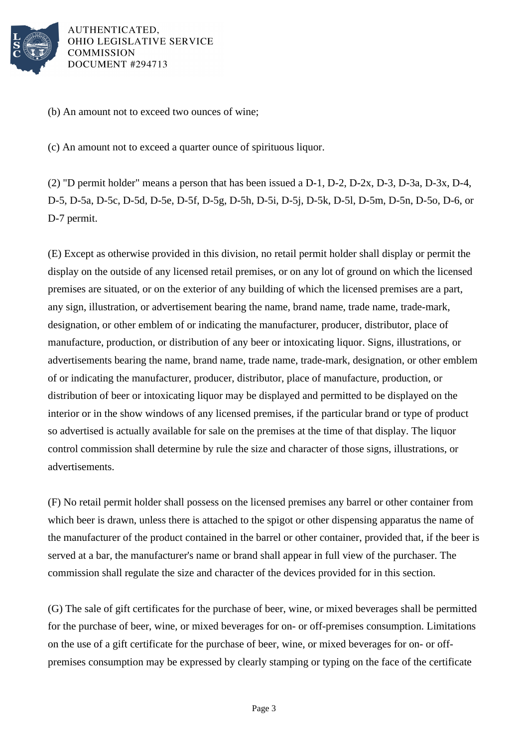

AUTHENTICATED, OHIO LEGISLATIVE SERVICE **COMMISSION** DOCUMENT #294713

(b) An amount not to exceed two ounces of wine;

(c) An amount not to exceed a quarter ounce of spirituous liquor.

(2) "D permit holder" means a person that has been issued a D-1, D-2, D-2x, D-3, D-3a, D-3x, D-4, D-5, D-5a, D-5c, D-5d, D-5e, D-5f, D-5g, D-5h, D-5i, D-5j, D-5k, D-5l, D-5m, D-5n, D-5o, D-6, or D-7 permit.

(E) Except as otherwise provided in this division, no retail permit holder shall display or permit the display on the outside of any licensed retail premises, or on any lot of ground on which the licensed premises are situated, or on the exterior of any building of which the licensed premises are a part, any sign, illustration, or advertisement bearing the name, brand name, trade name, trade-mark, designation, or other emblem of or indicating the manufacturer, producer, distributor, place of manufacture, production, or distribution of any beer or intoxicating liquor. Signs, illustrations, or advertisements bearing the name, brand name, trade name, trade-mark, designation, or other emblem of or indicating the manufacturer, producer, distributor, place of manufacture, production, or distribution of beer or intoxicating liquor may be displayed and permitted to be displayed on the interior or in the show windows of any licensed premises, if the particular brand or type of product so advertised is actually available for sale on the premises at the time of that display. The liquor control commission shall determine by rule the size and character of those signs, illustrations, or advertisements.

(F) No retail permit holder shall possess on the licensed premises any barrel or other container from which beer is drawn, unless there is attached to the spigot or other dispensing apparatus the name of the manufacturer of the product contained in the barrel or other container, provided that, if the beer is served at a bar, the manufacturer's name or brand shall appear in full view of the purchaser. The commission shall regulate the size and character of the devices provided for in this section.

(G) The sale of gift certificates for the purchase of beer, wine, or mixed beverages shall be permitted for the purchase of beer, wine, or mixed beverages for on- or off-premises consumption. Limitations on the use of a gift certificate for the purchase of beer, wine, or mixed beverages for on- or offpremises consumption may be expressed by clearly stamping or typing on the face of the certificate